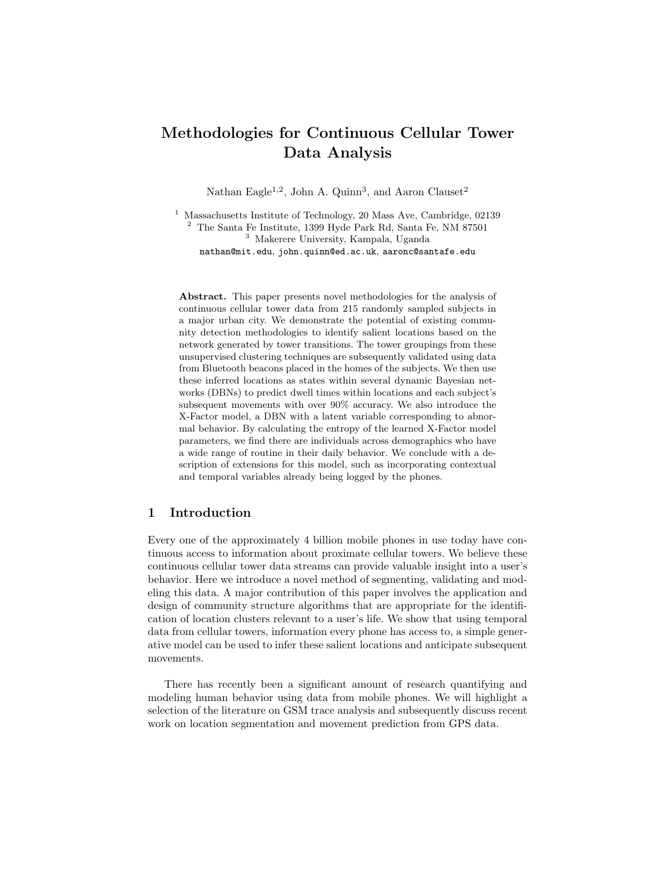# Methodologies for Continuous Cellular Tower Data Analysis

Nathan Eagle<sup>1,2</sup>, John A. Quinn<sup>3</sup>, and Aaron Clauset<sup>2</sup>

<sup>1</sup> Massachusetts Institute of Technology, 20 Mass Ave, Cambridge, 02139 <sup>2</sup> The Santa Fe Institute, 1399 Hyde Park Rd, Santa Fe, NM 87501 <sup>3</sup> Makerere University, Kampala, Uganda nathan@mit.edu, john.quinn@ed.ac.uk, aaronc@santafe.edu

Abstract. This paper presents novel methodologies for the analysis of continuous cellular tower data from 215 randomly sampled subjects in a major urban city. We demonstrate the potential of existing community detection methodologies to identify salient locations based on the network generated by tower transitions. The tower groupings from these unsupervised clustering techniques are subsequently validated using data from Bluetooth beacons placed in the homes of the subjects. We then use these inferred locations as states within several dynamic Bayesian networks (DBNs) to predict dwell times within locations and each subject's subsequent movements with over 90% accuracy. We also introduce the X-Factor model, a DBN with a latent variable corresponding to abnormal behavior. By calculating the entropy of the learned X-Factor model parameters, we find there are individuals across demographics who have a wide range of routine in their daily behavior. We conclude with a description of extensions for this model, such as incorporating contextual and temporal variables already being logged by the phones.

# 1 Introduction

Every one of the approximately 4 billion mobile phones in use today have continuous access to information about proximate cellular towers. We believe these continuous cellular tower data streams can provide valuable insight into a user's behavior. Here we introduce a novel method of segmenting, validating and modeling this data. A major contribution of this paper involves the application and design of community structure algorithms that are appropriate for the identification of location clusters relevant to a user's life. We show that using temporal data from cellular towers, information every phone has access to, a simple generative model can be used to infer these salient locations and anticipate subsequent movements.

There has recently been a significant amount of research quantifying and modeling human behavior using data from mobile phones. We will highlight a selection of the literature on GSM trace analysis and subsequently discuss recent work on location segmentation and movement prediction from GPS data.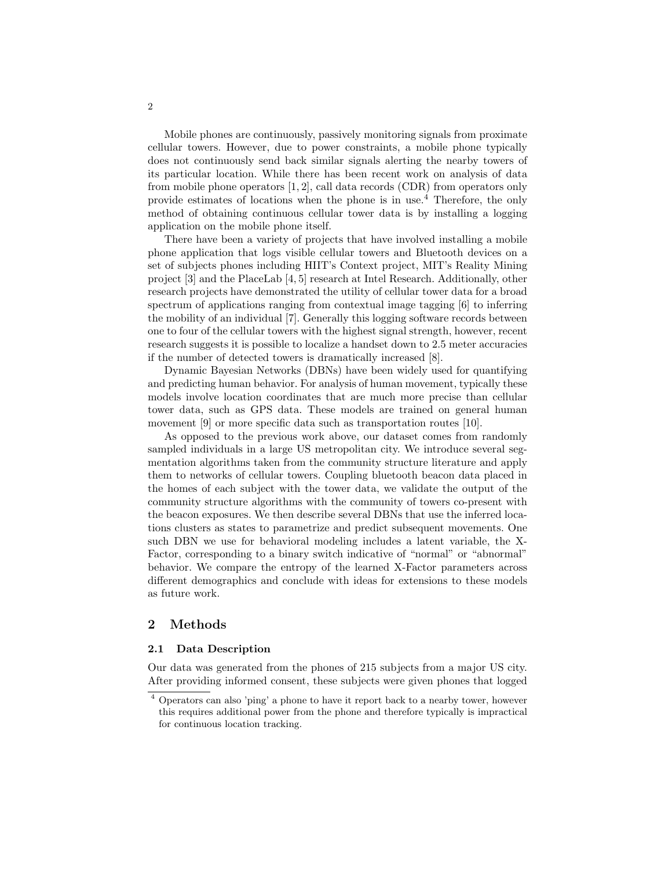Mobile phones are continuously, passively monitoring signals from proximate cellular towers. However, due to power constraints, a mobile phone typically does not continuously send back similar signals alerting the nearby towers of its particular location. While there has been recent work on analysis of data from mobile phone operators [1, 2], call data records (CDR) from operators only provide estimates of locations when the phone is in use.<sup>4</sup> Therefore, the only method of obtaining continuous cellular tower data is by installing a logging application on the mobile phone itself.

There have been a variety of projects that have involved installing a mobile phone application that logs visible cellular towers and Bluetooth devices on a set of subjects phones including HIIT's Context project, MIT's Reality Mining project [3] and the PlaceLab [4, 5] research at Intel Research. Additionally, other research projects have demonstrated the utility of cellular tower data for a broad spectrum of applications ranging from contextual image tagging [6] to inferring the mobility of an individual [7]. Generally this logging software records between one to four of the cellular towers with the highest signal strength, however, recent research suggests it is possible to localize a handset down to 2.5 meter accuracies if the number of detected towers is dramatically increased [8].

Dynamic Bayesian Networks (DBNs) have been widely used for quantifying and predicting human behavior. For analysis of human movement, typically these models involve location coordinates that are much more precise than cellular tower data, such as GPS data. These models are trained on general human movement [9] or more specific data such as transportation routes [10].

As opposed to the previous work above, our dataset comes from randomly sampled individuals in a large US metropolitan city. We introduce several segmentation algorithms taken from the community structure literature and apply them to networks of cellular towers. Coupling bluetooth beacon data placed in the homes of each subject with the tower data, we validate the output of the community structure algorithms with the community of towers co-present with the beacon exposures. We then describe several DBNs that use the inferred locations clusters as states to parametrize and predict subsequent movements. One such DBN we use for behavioral modeling includes a latent variable, the X-Factor, corresponding to a binary switch indicative of "normal" or "abnormal" behavior. We compare the entropy of the learned X-Factor parameters across different demographics and conclude with ideas for extensions to these models as future work.

## 2 Methods

#### 2.1 Data Description

Our data was generated from the phones of 215 subjects from a major US city. After providing informed consent, these subjects were given phones that logged

<sup>4</sup> Operators can also 'ping' a phone to have it report back to a nearby tower, however this requires additional power from the phone and therefore typically is impractical for continuous location tracking.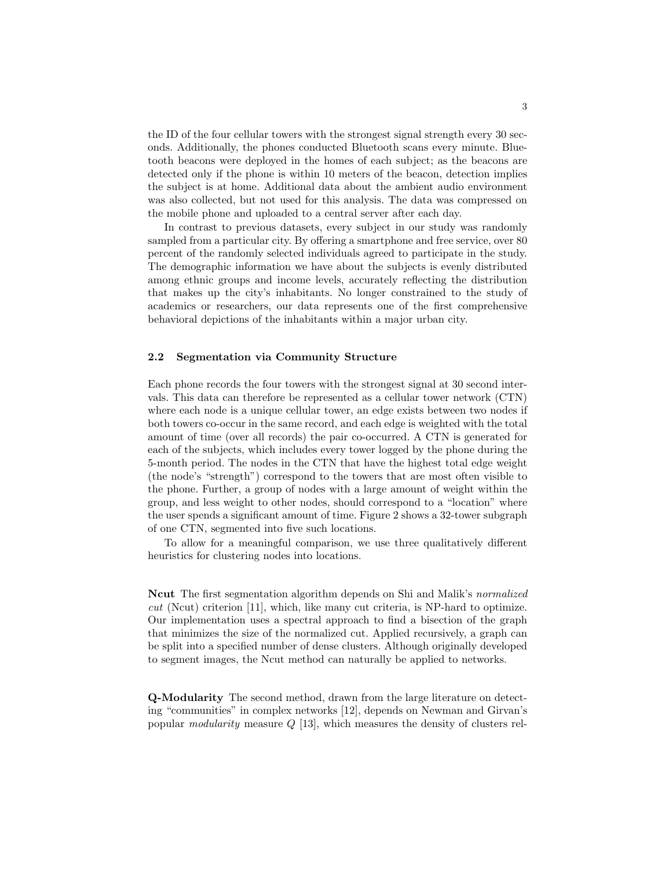the ID of the four cellular towers with the strongest signal strength every 30 seconds. Additionally, the phones conducted Bluetooth scans every minute. Bluetooth beacons were deployed in the homes of each subject; as the beacons are detected only if the phone is within 10 meters of the beacon, detection implies the subject is at home. Additional data about the ambient audio environment was also collected, but not used for this analysis. The data was compressed on the mobile phone and uploaded to a central server after each day.

In contrast to previous datasets, every subject in our study was randomly sampled from a particular city. By offering a smartphone and free service, over 80 percent of the randomly selected individuals agreed to participate in the study. The demographic information we have about the subjects is evenly distributed among ethnic groups and income levels, accurately reflecting the distribution that makes up the city's inhabitants. No longer constrained to the study of academics or researchers, our data represents one of the first comprehensive behavioral depictions of the inhabitants within a major urban city.

## 2.2 Segmentation via Community Structure

Each phone records the four towers with the strongest signal at 30 second intervals. This data can therefore be represented as a cellular tower network (CTN) where each node is a unique cellular tower, an edge exists between two nodes if both towers co-occur in the same record, and each edge is weighted with the total amount of time (over all records) the pair co-occurred. A CTN is generated for each of the subjects, which includes every tower logged by the phone during the 5-month period. The nodes in the CTN that have the highest total edge weight (the node's "strength") correspond to the towers that are most often visible to the phone. Further, a group of nodes with a large amount of weight within the group, and less weight to other nodes, should correspond to a "location" where the user spends a significant amount of time. Figure 2 shows a 32-tower subgraph of one CTN, segmented into five such locations.

To allow for a meaningful comparison, we use three qualitatively different heuristics for clustering nodes into locations.

Ncut The first segmentation algorithm depends on Shi and Malik's normalized  $cut$  (Ncut) criterion [11], which, like many cut criteria, is NP-hard to optimize. Our implementation uses a spectral approach to find a bisection of the graph that minimizes the size of the normalized cut. Applied recursively, a graph can be split into a specified number of dense clusters. Although originally developed to segment images, the Ncut method can naturally be applied to networks.

Q-Modularity The second method, drawn from the large literature on detecting "communities" in complex networks [12], depends on Newman and Girvan's popular modularity measure  $Q$  [13], which measures the density of clusters rel-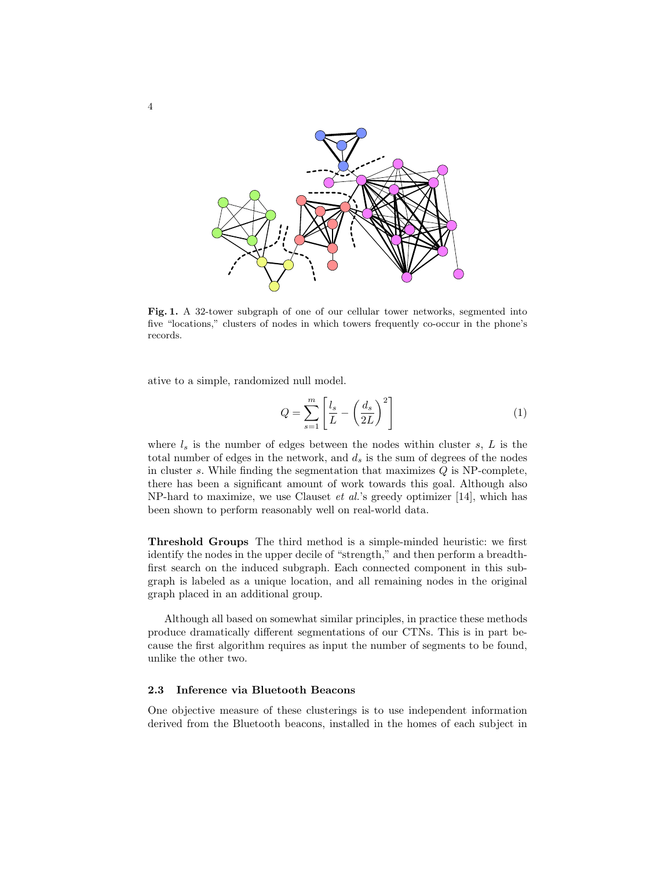

Fig. 1. A 32-tower subgraph of one of our cellular tower networks, segmented into five "locations," clusters of nodes in which towers frequently co-occur in the phone's records.

ative to a simple, randomized null model.

$$
Q = \sum_{s=1}^{m} \left[ \frac{l_s}{L} - \left( \frac{d_s}{2L} \right)^2 \right] \tag{1}
$$

where  $l_s$  is the number of edges between the nodes within cluster  $s, L$  is the total number of edges in the network, and  $d_s$  is the sum of degrees of the nodes in cluster s. While finding the segmentation that maximizes  $Q$  is NP-complete, there has been a significant amount of work towards this goal. Although also NP-hard to maximize, we use Clauset  $et$  al.'s greedy optimizer [14], which has been shown to perform reasonably well on real-world data.

Threshold Groups The third method is a simple-minded heuristic: we first identify the nodes in the upper decile of "strength," and then perform a breadthfirst search on the induced subgraph. Each connected component in this subgraph is labeled as a unique location, and all remaining nodes in the original graph placed in an additional group.

Although all based on somewhat similar principles, in practice these methods produce dramatically different segmentations of our CTNs. This is in part because the first algorithm requires as input the number of segments to be found, unlike the other two.

#### 2.3 Inference via Bluetooth Beacons

One objective measure of these clusterings is to use independent information derived from the Bluetooth beacons, installed in the homes of each subject in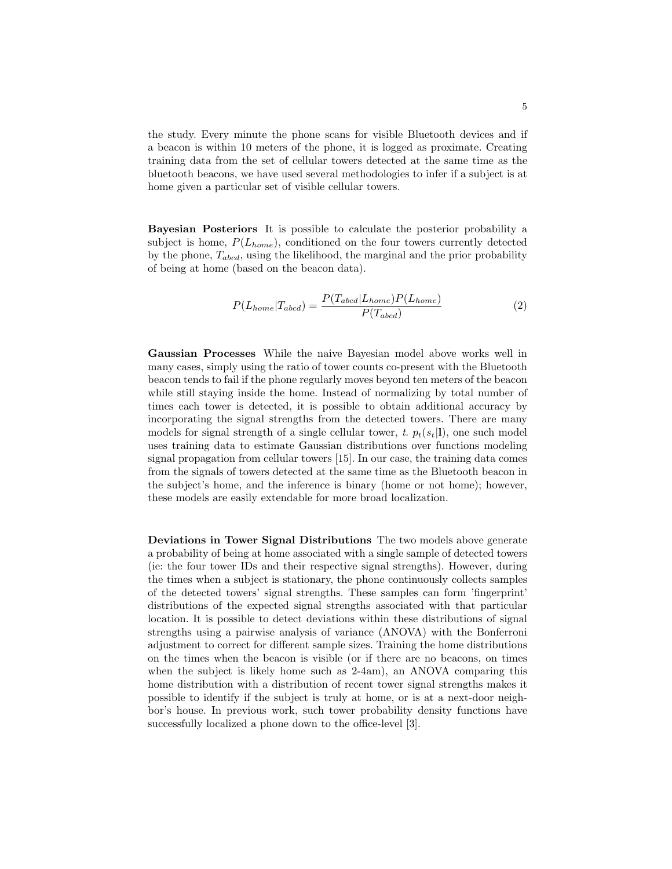the study. Every minute the phone scans for visible Bluetooth devices and if a beacon is within 10 meters of the phone, it is logged as proximate. Creating training data from the set of cellular towers detected at the same time as the bluetooth beacons, we have used several methodologies to infer if a subject is at home given a particular set of visible cellular towers.

Bayesian Posteriors It is possible to calculate the posterior probability a subject is home,  $P(L_{home})$ , conditioned on the four towers currently detected by the phone,  $T_{abcd}$ , using the likelihood, the marginal and the prior probability of being at home (based on the beacon data).

$$
P(L_{home}|T_{abcd}) = \frac{P(T_{abcd}|L_{home})P(L_{home})}{P(T_{abcd})}
$$
\n(2)

Gaussian Processes While the naive Bayesian model above works well in many cases, simply using the ratio of tower counts co-present with the Bluetooth beacon tends to fail if the phone regularly moves beyond ten meters of the beacon while still staying inside the home. Instead of normalizing by total number of times each tower is detected, it is possible to obtain additional accuracy by incorporating the signal strengths from the detected towers. There are many models for signal strength of a single cellular tower, t.  $p_t(s_t|l)$ , one such model uses training data to estimate Gaussian distributions over functions modeling signal propagation from cellular towers [15]. In our case, the training data comes from the signals of towers detected at the same time as the Bluetooth beacon in the subject's home, and the inference is binary (home or not home); however, these models are easily extendable for more broad localization.

Deviations in Tower Signal Distributions The two models above generate a probability of being at home associated with a single sample of detected towers (ie: the four tower IDs and their respective signal strengths). However, during the times when a subject is stationary, the phone continuously collects samples of the detected towers' signal strengths. These samples can form 'fingerprint' distributions of the expected signal strengths associated with that particular location. It is possible to detect deviations within these distributions of signal strengths using a pairwise analysis of variance (ANOVA) with the Bonferroni adjustment to correct for different sample sizes. Training the home distributions on the times when the beacon is visible (or if there are no beacons, on times when the subject is likely home such as 2-4am), an ANOVA comparing this home distribution with a distribution of recent tower signal strengths makes it possible to identify if the subject is truly at home, or is at a next-door neighbor's house. In previous work, such tower probability density functions have successfully localized a phone down to the office-level [3].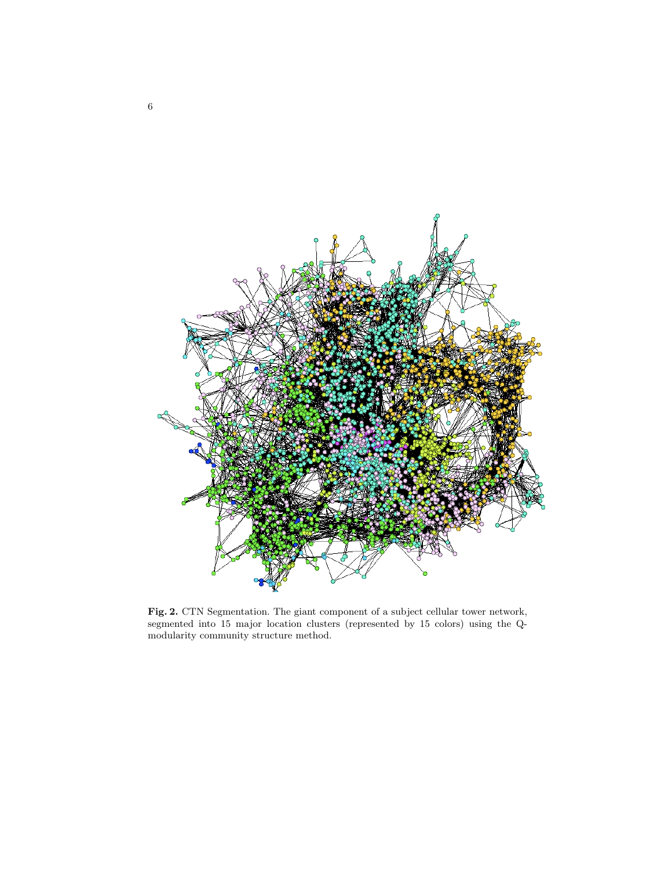

Fig. 2. CTN Segmentation. The giant component of a subject cellular tower network, segmented into 15 major location clusters (represented by 15 colors) using the Qmodularity community structure method.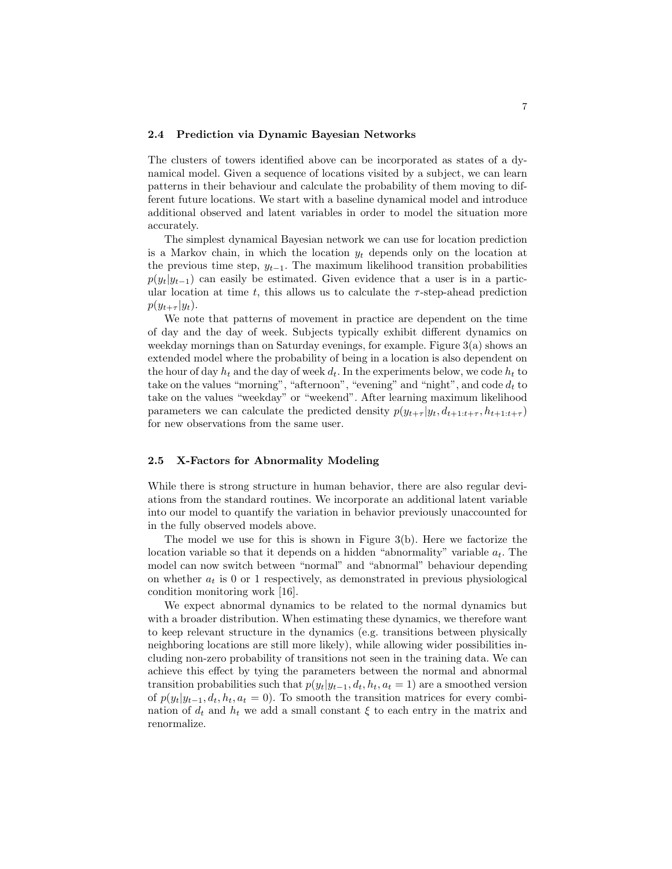#### 2.4 Prediction via Dynamic Bayesian Networks

The clusters of towers identified above can be incorporated as states of a dynamical model. Given a sequence of locations visited by a subject, we can learn patterns in their behaviour and calculate the probability of them moving to different future locations. We start with a baseline dynamical model and introduce additional observed and latent variables in order to model the situation more accurately.

The simplest dynamical Bayesian network we can use for location prediction is a Markov chain, in which the location  $y_t$  depends only on the location at the previous time step,  $y_{t-1}$ . The maximum likelihood transition probabilities  $p(y_t|y_{t-1})$  can easily be estimated. Given evidence that a user is in a particular location at time t, this allows us to calculate the  $\tau$ -step-ahead prediction  $p(y_{t+\tau}|y_t).$ 

We note that patterns of movement in practice are dependent on the time of day and the day of week. Subjects typically exhibit different dynamics on weekday mornings than on Saturday evenings, for example. Figure 3(a) shows an extended model where the probability of being in a location is also dependent on the hour of day  $h_t$  and the day of week  $d_t$ . In the experiments below, we code  $h_t$  to take on the values "morning", "afternoon", "evening" and "night", and code  $d_t$  to take on the values "weekday" or "weekend". After learning maximum likelihood parameters we can calculate the predicted density  $p(y_{t+\tau} | y_t, d_{t+1:t+\tau}, h_{t+1:t+\tau})$ for new observations from the same user.

#### 2.5 X-Factors for Abnormality Modeling

While there is strong structure in human behavior, there are also regular deviations from the standard routines. We incorporate an additional latent variable into our model to quantify the variation in behavior previously unaccounted for in the fully observed models above.

The model we use for this is shown in Figure 3(b). Here we factorize the location variable so that it depends on a hidden "abnormality" variable  $a_t$ . The model can now switch between "normal" and "abnormal" behaviour depending on whether  $a_t$  is 0 or 1 respectively, as demonstrated in previous physiological condition monitoring work [16].

We expect abnormal dynamics to be related to the normal dynamics but with a broader distribution. When estimating these dynamics, we therefore want to keep relevant structure in the dynamics (e.g. transitions between physically neighboring locations are still more likely), while allowing wider possibilities including non-zero probability of transitions not seen in the training data. We can achieve this effect by tying the parameters between the normal and abnormal transition probabilities such that  $p(y_t|y_{t-1}, d_t, h_t, a_t = 1)$  are a smoothed version of  $p(y_t|y_{t-1}, d_t, h_t, a_t = 0)$ . To smooth the transition matrices for every combination of  $d_t$  and  $h_t$  we add a small constant  $\xi$  to each entry in the matrix and renormalize.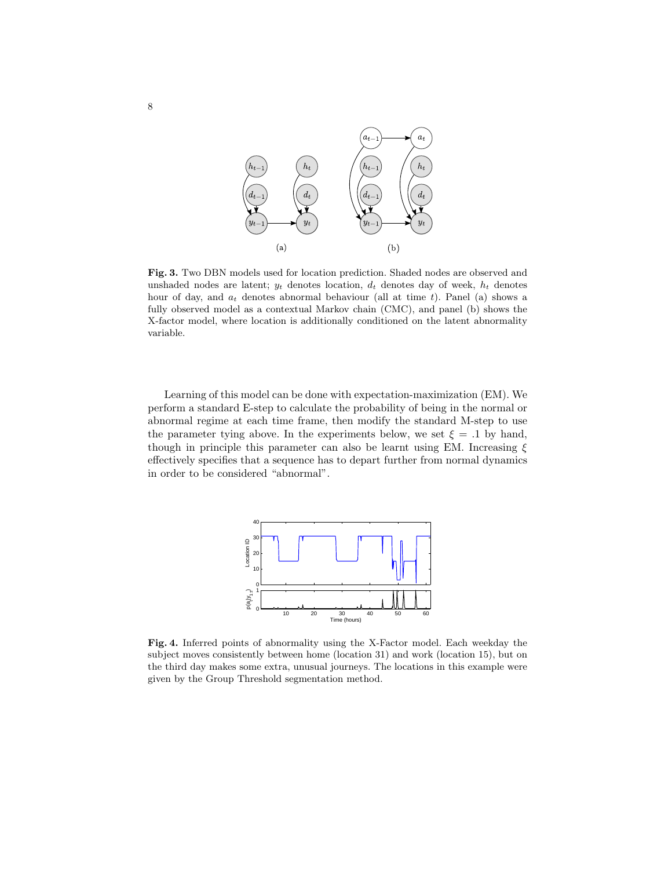

Fig. 3. Two DBN models used for location prediction. Shaded nodes are observed and unshaded nodes are latent;  $y_t$  denotes location,  $d_t$  denotes day of week,  $h_t$  denotes hour of day, and  $a_t$  denotes abnormal behaviour (all at time t). Panel (a) shows a fully observed model as a contextual Markov chain (CMC), and panel (b) shows the X-factor model, where location is additionally conditioned on the latent abnormality variable.

Learning of this model can be done with expectation-maximization (EM). We perform a standard E-step to calculate the probability of being in the normal or abnormal regime at each time frame, then modify the standard M-step to use the parameter tying above. In the experiments below, we set  $\xi = .1$  by hand, though in principle this parameter can also be learnt using EM. Increasing  $\xi$ effectively specifies that a sequence has to depart further from normal dynamics in order to be considered "abnormal".



Fig. 4. Inferred points of abnormality using the X-Factor model. Each weekday the subject moves consistently between home (location 31) and work (location 15), but on the third day makes some extra, unusual journeys. The locations in this example were given by the Group Threshold segmentation method.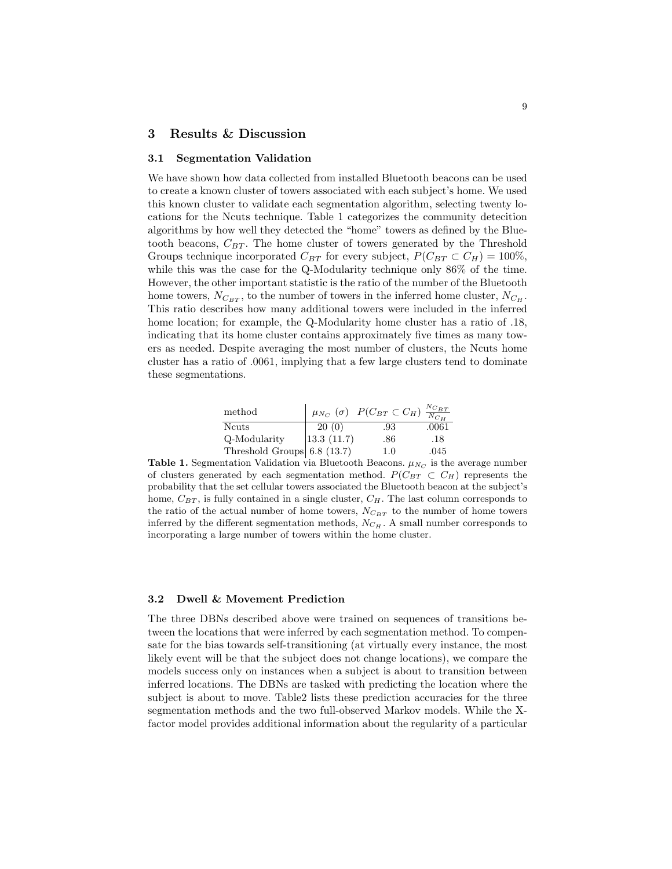## 3 Results & Discussion

#### 3.1 Segmentation Validation

We have shown how data collected from installed Bluetooth beacons can be used to create a known cluster of towers associated with each subject's home. We used this known cluster to validate each segmentation algorithm, selecting twenty locations for the Ncuts technique. Table 1 categorizes the community detecition algorithms by how well they detected the "home" towers as defined by the Bluetooth beacons,  $C_{BT}$ . The home cluster of towers generated by the Threshold Groups technique incorporated  $C_{BT}$  for every subject,  $P(C_{BT} \subset C_H) = 100\%$ , while this was the case for the Q-Modularity technique only 86% of the time. However, the other important statistic is the ratio of the number of the Bluetooth home towers,  $N_{C_{BT}}$ , to the number of towers in the inferred home cluster,  $N_{C_H}$ . This ratio describes how many additional towers were included in the inferred home location; for example, the Q-Modularity home cluster has a ratio of  $.18$ , indicating that its home cluster contains approximately five times as many towers as needed. Despite averaging the most number of clusters, the Ncuts home cluster has a ratio of .0061, implying that a few large clusters tend to dominate these segmentations.

| method                                                                                                                                                                                   | $\mu_{N_C}$ (σ) $P(C_{BT} \subset C_H) \frac{N_{C_{BT}}}{N_{C_H}}$ |       |
|------------------------------------------------------------------------------------------------------------------------------------------------------------------------------------------|--------------------------------------------------------------------|-------|
|                                                                                                                                                                                          | .93                                                                | .0061 |
| $\begin{tabular}{l c c} \hline \textbf{Ncuts} & \textbf{20 (0)}\\ \textbf{Q-Modularity} & \textbf{13.3 (11.7)}\\ \textbf{Threshold Groups} & \textbf{6.8 (13.7)}\\ \hline \end{tabular}$ | .86                                                                | .18   |
|                                                                                                                                                                                          | 1.0                                                                | .045  |

**Table 1.** Segmentation Validation via Bluetooth Beacons.  $\mu_{N_C}$  is the average number of clusters generated by each segmentation method.  $P(C_{BT} \subset C_H)$  represents the probability that the set cellular towers associated the Bluetooth beacon at the subject's home,  $C_{BT}$ , is fully contained in a single cluster,  $C_H$ . The last column corresponds to the ratio of the actual number of home towers,  $N_{C_{BT}}$  to the number of home towers inferred by the different segmentation methods,  $N_{C_H}$ . A small number corresponds to incorporating a large number of towers within the home cluster.

#### 3.2 Dwell & Movement Prediction

The three DBNs described above were trained on sequences of transitions between the locations that were inferred by each segmentation method. To compensate for the bias towards self-transitioning (at virtually every instance, the most likely event will be that the subject does not change locations), we compare the models success only on instances when a subject is about to transition between inferred locations. The DBNs are tasked with predicting the location where the subject is about to move. Table2 lists these prediction accuracies for the three segmentation methods and the two full-observed Markov models. While the Xfactor model provides additional information about the regularity of a particular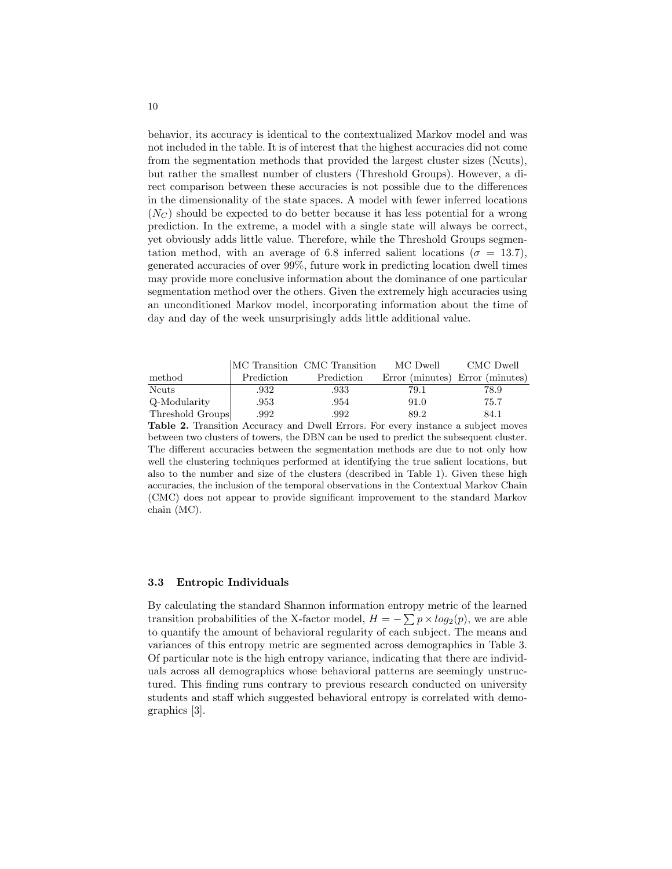behavior, its accuracy is identical to the contextualized Markov model and was not included in the table. It is of interest that the highest accuracies did not come from the segmentation methods that provided the largest cluster sizes (Ncuts), but rather the smallest number of clusters (Threshold Groups). However, a direct comparison between these accuracies is not possible due to the differences in the dimensionality of the state spaces. A model with fewer inferred locations  $(N<sub>C</sub>)$  should be expected to do better because it has less potential for a wrong prediction. In the extreme, a model with a single state will always be correct, yet obviously adds little value. Therefore, while the Threshold Groups segmentation method, with an average of 6.8 inferred salient locations ( $\sigma = 13.7$ ), generated accuracies of over 99%, future work in predicting location dwell times may provide more conclusive information about the dominance of one particular segmentation method over the others. Given the extremely high accuracies using an unconditioned Markov model, incorporating information about the time of day and day of the week unsurprisingly adds little additional value.

|                  |            | MC Transition CMC Transition | MC Dwell | CMC Dwell                       |
|------------------|------------|------------------------------|----------|---------------------------------|
| method           | Prediction | Prediction                   |          | Error (minutes) Error (minutes) |
| Ncuts            | .932       | .933                         | 79.1     | 78.9                            |
| Q-Modularity     | .953       | .954                         | 91.0     | 75.7                            |
| Threshold Groups | .992       | .992                         | 89.2     | 84.1                            |

Table 2. Transition Accuracy and Dwell Errors. For every instance a subject moves between two clusters of towers, the DBN can be used to predict the subsequent cluster. The different accuracies between the segmentation methods are due to not only how well the clustering techniques performed at identifying the true salient locations, but also to the number and size of the clusters (described in Table 1). Given these high accuracies, the inclusion of the temporal observations in the Contextual Markov Chain (CMC) does not appear to provide significant improvement to the standard Markov chain (MC).

#### 3.3 Entropic Individuals

By calculating the standard Shannon information entropy metric of the learned transition probabilities of the X-factor model,  $H = -\sum p \times log_2(p)$ , we are able to quantify the amount of behavioral regularity of each subject. The means and variances of this entropy metric are segmented across demographics in Table 3. Of particular note is the high entropy variance, indicating that there are individuals across all demographics whose behavioral patterns are seemingly unstructured. This finding runs contrary to previous research conducted on university students and staff which suggested behavioral entropy is correlated with demographics [3].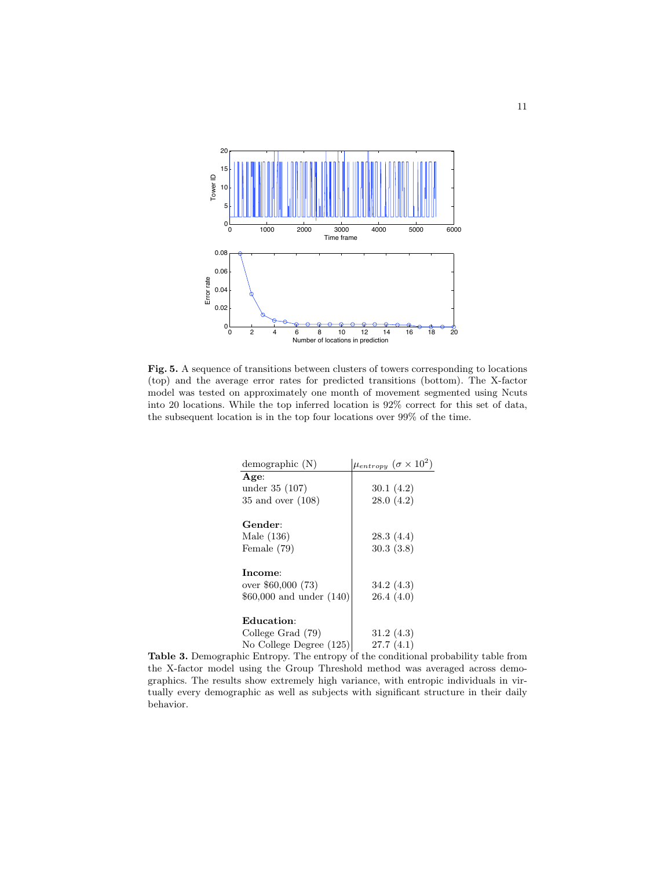

Fig. 5. A sequence of transitions between clusters of towers corresponding to locations (top) and the average error rates for predicted transitions (bottom). The X-factor model was tested on approximately one month of movement segmented using Ncuts into 20 locations. While the top inferred location is 92% correct for this set of data, the subsequent location is in the top four locations over 99% of the time.

| demographic(N)              | $\mu_{entropy}$ ( $\sigma \times 10^2$ ) |
|-----------------------------|------------------------------------------|
| Age:                        |                                          |
| under $35(107)$             | 30.1(4.2)                                |
| $35$ and over $(108)$       | 28.0(4.2)                                |
|                             |                                          |
| Gender:                     |                                          |
| Male $(136)$                | 28.3 (4.4)                               |
| Female (79)                 | 30.3(3.8)                                |
|                             |                                          |
| Income:                     |                                          |
| over \$60,000 (73)          | 34.2(4.3)                                |
| $$60,000$ and under $(140)$ | 26.4(4.0)                                |
|                             |                                          |
| Education:                  |                                          |
| College Grad (79)           | 31.2(4.3)                                |
| No College Degree (125)     | 27.7(4.1)                                |

Table 3. Demographic Entropy. The entropy of the conditional probability table from the X-factor model using the Group Threshold method was averaged across demographics. The results show extremely high variance, with entropic individuals in virtually every demographic as well as subjects with significant structure in their daily behavior.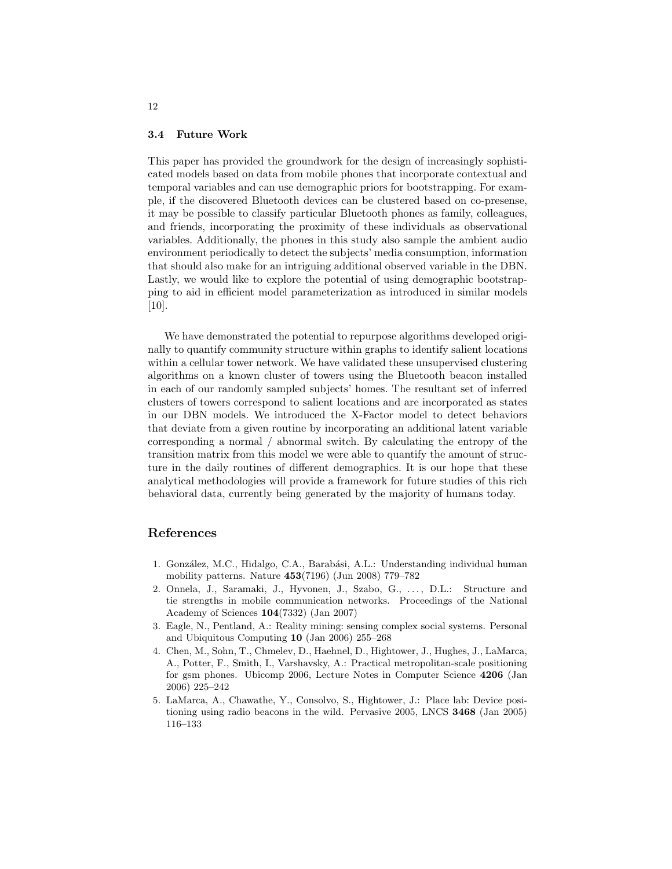#### 3.4 Future Work

This paper has provided the groundwork for the design of increasingly sophisticated models based on data from mobile phones that incorporate contextual and temporal variables and can use demographic priors for bootstrapping. For example, if the discovered Bluetooth devices can be clustered based on co-presense, it may be possible to classify particular Bluetooth phones as family, colleagues, and friends, incorporating the proximity of these individuals as observational variables. Additionally, the phones in this study also sample the ambient audio environment periodically to detect the subjects' media consumption, information that should also make for an intriguing additional observed variable in the DBN. Lastly, we would like to explore the potential of using demographic bootstrapping to aid in efficient model parameterization as introduced in similar models [10].

We have demonstrated the potential to repurpose algorithms developed originally to quantify community structure within graphs to identify salient locations within a cellular tower network. We have validated these unsupervised clustering algorithms on a known cluster of towers using the Bluetooth beacon installed in each of our randomly sampled subjects' homes. The resultant set of inferred clusters of towers correspond to salient locations and are incorporated as states in our DBN models. We introduced the X-Factor model to detect behaviors that deviate from a given routine by incorporating an additional latent variable corresponding a normal / abnormal switch. By calculating the entropy of the transition matrix from this model we were able to quantify the amount of structure in the daily routines of different demographics. It is our hope that these analytical methodologies will provide a framework for future studies of this rich behavioral data, currently being generated by the majority of humans today.

## References

- 1. Gonz´alez, M.C., Hidalgo, C.A., Barab´asi, A.L.: Understanding individual human mobility patterns. Nature 453(7196) (Jun 2008) 779–782
- 2. Onnela, J., Saramaki, J., Hyvonen, J., Szabo, G., . . . , D.L.: Structure and tie strengths in mobile communication networks. Proceedings of the National Academy of Sciences 104(7332) (Jan 2007)
- 3. Eagle, N., Pentland, A.: Reality mining: sensing complex social systems. Personal and Ubiquitous Computing 10 (Jan 2006) 255–268
- 4. Chen, M., Sohn, T., Chmelev, D., Haehnel, D., Hightower, J., Hughes, J., LaMarca, A., Potter, F., Smith, I., Varshavsky, A.: Practical metropolitan-scale positioning for gsm phones. Ubicomp 2006, Lecture Notes in Computer Science 4206 (Jan 2006) 225–242
- 5. LaMarca, A., Chawathe, Y., Consolvo, S., Hightower, J.: Place lab: Device positioning using radio beacons in the wild. Pervasive 2005, LNCS 3468 (Jan 2005) 116–133

12